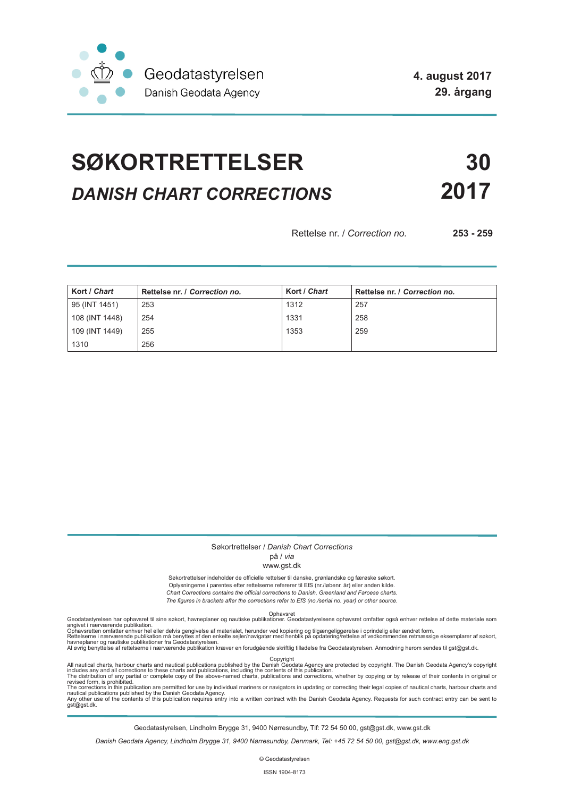

# **SØKORTRETTELSER 30** *DANISH CHART CORRECTIONS* **2017**

Rettelse nr. / *Correction no.* **253 - 259**

| Kort / Chart   | Rettelse nr. / Correction no. | Kort / Chart | Rettelse nr. / Correction no. |
|----------------|-------------------------------|--------------|-------------------------------|
| 95 (INT 1451)  | 253                           | 1312         | 257                           |
| 108 (INT 1448) | 254                           | 1331         | 258                           |
| 109 (INT 1449) | 255                           | 1353         | 259                           |
| 1310           | 256                           |              |                               |

### Søkortrettelser / *Danish Chart Corrections*

### på / *via*

### www.gst.dk

Søkortrettelser indeholder de officielle rettelser til danske, grønlandske og færøske søkort. Oplysningerne i parentes efter rettelserne refererer til EfS (nr./løbenr. år) eller anden kilde. *Chart Corrections contains the official corrections to Danish, Greenland and Faroese charts. The figures in brackets after the corrections refer to EfS (no./serial no. year) or other source.*

Ophavsret Geodatastyrelsen har ophavsret til sine søkort, havneplaner og nautiske publikationer. Geodatastyrelsens ophavsret omfatter også enhver rettelse af dette materiale som

angivet i nærværende publikation.<br>Ophavsretten omfatter enhver hel eller delvis gengivelse af materialet, herunder ved kopiering og tilgængeliggørelse i oprindelig eller ændret form.<br>Rettelserne i nærværende publikation må

All nautical charts, harbour charts and nautical publications published by the Dopyright<br>includes any and all corrections to these charts and publications, including the contents of this publication.<br>The distribution of an

Geodatastyrelsen, Lindholm Brygge 31, 9400 Nørresundby, Tlf: 72 54 50 00, gst@gst.dk, www.gst.dk

*Danish Geodata Agency, Lindholm Brygge 31, 9400 Nørresundby, Denmark, Tel: +45 72 54 50 00, gst@gst.dk, www.eng.gst.dk*

© Geodatastyrelsen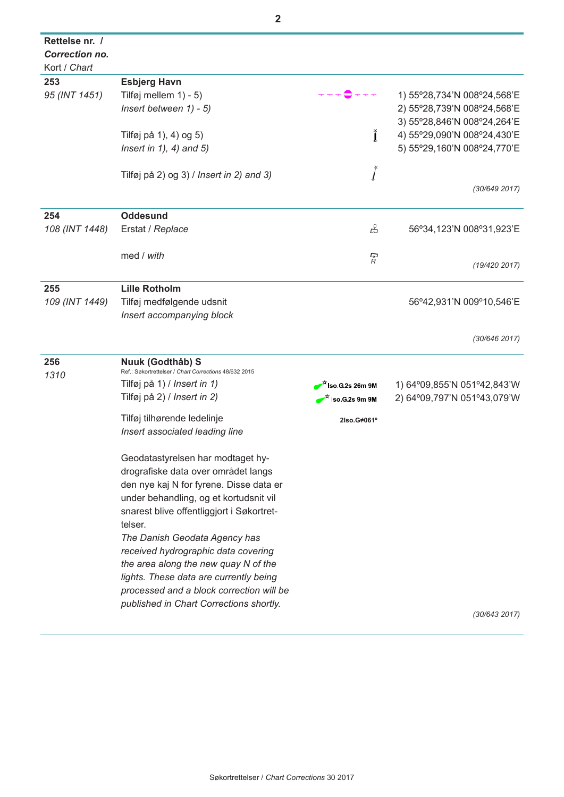| Rettelse nr. /<br><b>Correction no.</b> |                                                                                |                                  |                             |
|-----------------------------------------|--------------------------------------------------------------------------------|----------------------------------|-----------------------------|
| Kort / Chart<br>253                     |                                                                                |                                  |                             |
|                                         | <b>Esbjerg Havn</b>                                                            |                                  | 1) 55°28,734'N 008°24,568'E |
| 95 (INT 1451)                           | Tilføj mellem 1) - 5)<br>Insert between 1) - 5)                                |                                  | 2) 55°28,739'N 008°24,568'E |
|                                         |                                                                                |                                  | 3) 55°28,846'N 008°24,264'E |
|                                         | Tilføj på 1), 4) og 5)                                                         | ľ                                | 4) 55°29,090'N 008°24,430'E |
|                                         | Insert in $1$ , $4$ ) and $5$ )                                                |                                  | 5) 55°29,160'N 008°24,770'E |
|                                         |                                                                                |                                  |                             |
|                                         | Tilføj på 2) og 3) / Insert in 2) and 3)                                       | $\int$                           |                             |
|                                         |                                                                                |                                  | (30/649 2017)               |
|                                         |                                                                                |                                  |                             |
| 254                                     | <b>Oddesund</b>                                                                |                                  |                             |
| 108 (INT 1448)                          | Erstat / Replace                                                               | 모                                | 56°34,123'N 008°31,923'E    |
|                                         |                                                                                |                                  |                             |
|                                         | med / with                                                                     | ্র<br>R                          |                             |
|                                         |                                                                                |                                  | (19/420 2017)               |
| 255                                     | <b>Lille Rotholm</b>                                                           |                                  |                             |
| 109 (INT 1449)                          | Tilføj medfølgende udsnit                                                      |                                  | 56°42,931'N 009°10,546'E    |
|                                         | Insert accompanying block                                                      |                                  |                             |
|                                         |                                                                                |                                  |                             |
|                                         |                                                                                |                                  | (30/646 2017)               |
| 256                                     | Nuuk (Godthåb) S                                                               |                                  |                             |
| 1310                                    | Ref.: Søkortrettelser / Chart Corrections 48/632 2015                          |                                  |                             |
|                                         | Tilføj på 1) / Insert in 1)                                                    | $^{\mathcal{H}}$ Iso G 2s 26m 9M | 1) 64°09,855'N 051°42,843'W |
|                                         | Tilføj på 2) / Insert in 2)                                                    | $\vec{r}$ iso G.2s 9m 9M         | 2) 64°09,797'N 051°43,079'W |
|                                         | Tilføj tilhørende ledelinje                                                    | 2Iso.G#061°                      |                             |
|                                         | Insert associated leading line                                                 |                                  |                             |
|                                         |                                                                                |                                  |                             |
|                                         | Geodatastyrelsen har modtaget hy-                                              |                                  |                             |
|                                         | drografiske data over området langs                                            |                                  |                             |
|                                         | den nye kaj N for fyrene. Disse data er                                        |                                  |                             |
|                                         | under behandling, og et kortudsnit vil                                         |                                  |                             |
|                                         | snarest blive offentliggjort i Søkortret-                                      |                                  |                             |
|                                         | telser.                                                                        |                                  |                             |
|                                         | The Danish Geodata Agency has                                                  |                                  |                             |
|                                         | received hydrographic data covering                                            |                                  |                             |
|                                         | the area along the new quay N of the<br>lights. These data are currently being |                                  |                             |
|                                         | processed and a block correction will be                                       |                                  |                             |
|                                         | published in Chart Corrections shortly.                                        |                                  |                             |
|                                         |                                                                                |                                  | (30/643 2017)               |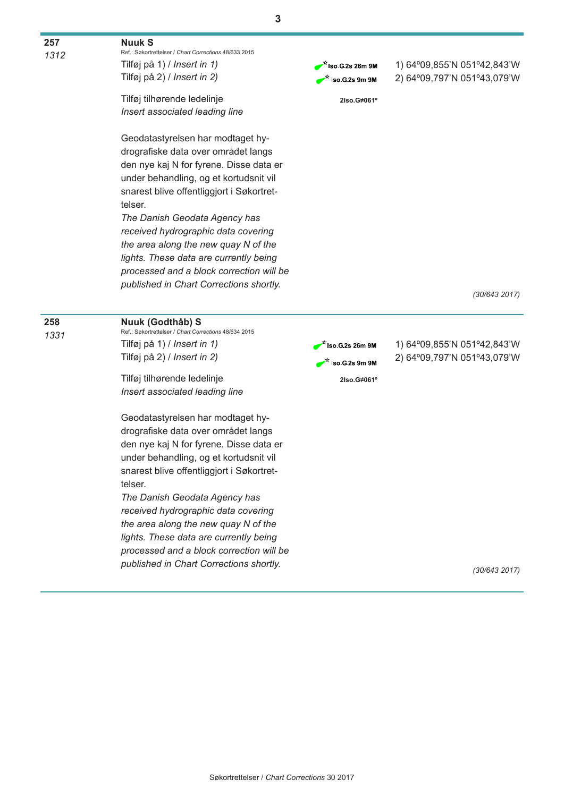**3**

**257** *1312*

## **Nuuk S**

Ref.: Søkortrettelser / *Chart Corrections* 48/633 2015 Tilføj på 1) / *Insert in 1)* Tilføj på 2) / *Insert in 2)*

Tilføj tilhørende ledelinje *Insert associated leading line*

Geodatastyrelsen har modtaget hydrografiske data over området langs den nye kaj N for fyrene. Disse data er under behandling, og et kortudsnit vil snarest blive offentliggjort i Søkortrettelser.

*The Danish Geodata Agency has received hydrographic data covering the area along the new quay N of the lights. These data are currently being processed and a block correction will be published in Chart Corrections shortly.*

*lights. These data are currently being processed and a block correction will be published in Chart Corrections shortly.*

 $\vec{r}$  iso G.2s 26m 9M  $\overrightarrow{r}$  iso G 2s 9m 9M 1) 64º09,855'N 051º42,843'W 2) 64º09,797'N 051º43,079'W

**2Iso.G≠061º**

*(30/643 2017)*



*(30/643 2017)*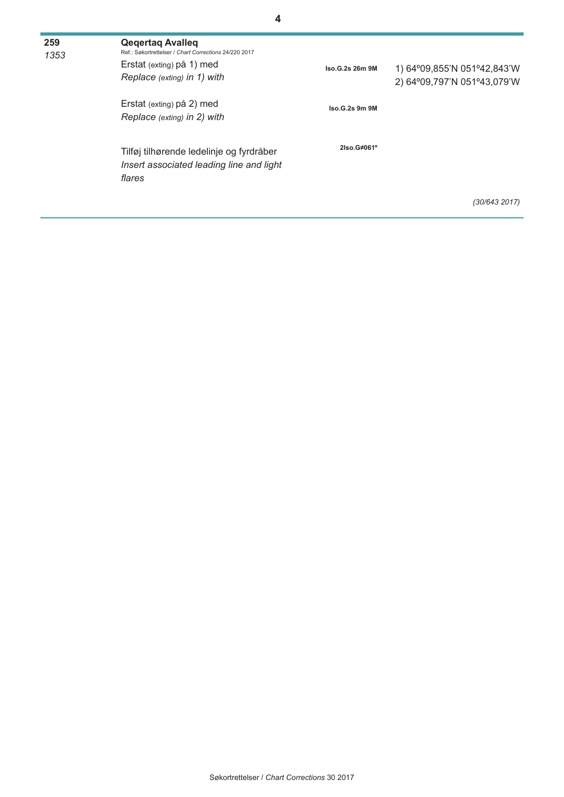| 259<br>1353 | <b>Qegertag Avalleg</b><br>Ref.: Søkortrettelser / Chart Corrections 24/220 2017<br>Erstat (exting) på 1) med<br>Replace (exting) in 1) with | Iso.G.2s 26m 9M | 1) 64°09,855'N 051°42,843'W<br>2) 64°09,797'N 051°43,079'W |
|-------------|----------------------------------------------------------------------------------------------------------------------------------------------|-----------------|------------------------------------------------------------|
|             | Erstat (exting) på 2) med<br>Replace (exting) in 2) with                                                                                     | Iso.G.2s 9m 9M  |                                                            |
|             | Tilføj tilhørende ledelinje og fyrdråber<br>Insert associated leading line and light<br>flares                                               | 2Iso.G#061°     |                                                            |
|             |                                                                                                                                              |                 | (30/643 2017)                                              |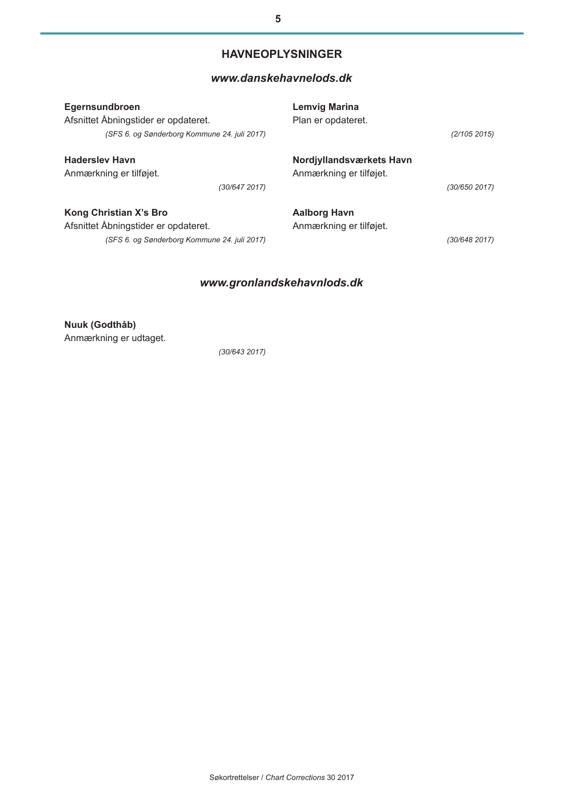# **HAVNEOPLYSNINGER**

# *[www.danskehavnelods.dk](http://www.danskehavnelods.dk/)*

| Egernsundbroen                               | <b>Lemvig Marina</b>     |
|----------------------------------------------|--------------------------|
| Afsnittet Åbningstider er opdateret.         | Plan er opdateret.       |
| (SFS 6. og Sønderborg Kommune 24. juli 2017) | (2/105 2015)             |
| <b>Hadersley Havn</b>                        | Nordjyllandsværkets Havn |
| Anmærkning er tilføjet.                      | Anmærkning er tilføjet.  |
| (30/647 2017)                                | (30/650 2017)            |
| Kong Christian X's Bro                       | Aalborg Havn             |
| Afsnittet Åbningstider er opdateret.         | Anmærkning er tilføjet.  |
| (SFS 6. og Sønderborg Kommune 24. juli 2017) | (30/648 2017)            |

# *www.gronlandskehavnlods.dk*

**Nuuk (Godthåb)**  Anmærkning er udtaget.

*(30/643 2017)*